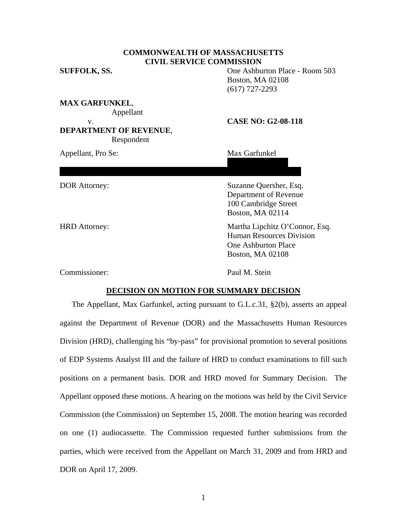# **COMMONWEALTH OF MASSACHUSETTS CIVIL SERVICE COMMISSION**

474 Broadway #45

Somerville, MA 02145

**SUFFOLK, SS.** One Ashburton Place - Room 503 Boston, MA 02108 (617) 727-2293

**MAX GARFUNKEL**, Appellant v. **CASE NO: G2-08-118** 

# **DEPARTMENT OF REVENUE**, Respondent

Appellant, Pro Se: Max Garfunkel

#### DOR Attorney: Suzanne Quersher, Esq.

 Department of Revenue 100 Cambridge Street Boston, MA 02114

HRD Attorney: Martha Lipchitz O'Connor, Esq. Human Resources Division One Ashburton Place Boston, MA 02108

Commissioner: Paul M. Stein

# **DECISION ON MOTION FOR SUMMARY DECISION**

The Appellant, Max Garfunkel, acting pursuant to G.L.c.31, §2(b), asserts an appeal against the Department of Revenue (DOR) and the Massachusetts Human Resources Division (HRD), challenging his "by-pass" for provisional promotion to several positions of EDP Systems Analyst III and the failure of HRD to conduct examinations to fill such positions on a permanent basis. DOR and HRD moved for Summary Decision. The Appellant opposed these motions. A hearing on the motions was held by the Civil Service Commission (the Commission) on September 15, 2008. The motion hearing was recorded on one (1) audiocassette. The Commission requested further submissions from the parties, which were received from the Appellant on March 31, 2009 and from HRD and DOR on April 17, 2009.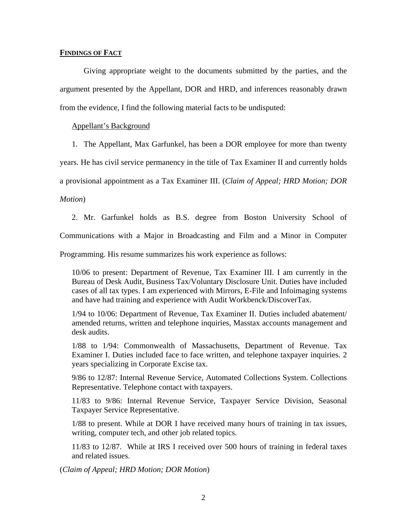### **FINDINGS OF FACT**

 Giving appropriate weight to the documents submitted by the parties, and the argument presented by the Appellant, DOR and HRD, and inferences reasonably drawn from the evidence, I find the following material facts to be undisputed:

#### Appellant's Background

1. The Appellant, Max Garfunkel, has been a DOR employee for more than twenty

years. He has civil service permanency in the title of Tax Examiner II and currently holds

a provisional appointment as a Tax Examiner III. (*Claim of Appeal; HRD Motion; DOR* 

*Motion*)

2. Mr. Garfunkel holds as B.S. degree from Boston University School of Communications with a Major in Broadcasting and Film and a Minor in Computer

Programming. His resume summarizes his work experience as follows:

10/06 to present: Department of Revenue, Tax Examiner III. I am currently in the Bureau of Desk Audit, Business Tax/Voluntary Disclosure Unit. Duties have included cases of all tax types. I am experienced with Mirrors, E-File and Infoimaging systems and have had training and experience with Audit Workbenck/DiscoverTax.

1/94 to 10/06: Department of Revenue, Tax Examiner II. Duties included abatement/ amended returns, written and telephone inquiries, Masstax accounts management and desk audits.

1/88 to 1/94: Commonwealth of Massachusetts, Department of Revenue. Tax Examiner I. Duties included face to face written, and telephone taxpayer inquiries. 2 years specializing in Corporate Excise tax.

9/86 to 12/87: Internal Revenue Service, Automated Collections System. Collections Representative. Telephone contact with taxpayers.

11/83 to 9/86: Internal Revenue Service, Taxpayer Service Division, Seasonal Taxpayer Service Representative.

1/88 to present. While at DOR I have received many hours of training in tax issues, writing, computer tech, and other job related topics.

11/83 to 12/87. While at IRS I received over 500 hours of training in federal taxes and related issues.

(*Claim of Appeal; HRD Motion; DOR Motion*)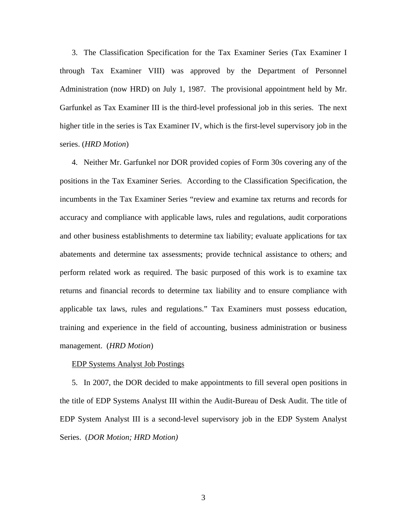3. The Classification Specification for the Tax Examiner Series (Tax Examiner I through Tax Examiner VIII) was approved by the Department of Personnel Administration (now HRD) on July 1, 1987. The provisional appointment held by Mr. Garfunkel as Tax Examiner III is the third-level professional job in this series. The next higher title in the series is Tax Examiner IV, which is the first-level supervisory job in the series. (*HRD Motion*)

4. Neither Mr. Garfunkel nor DOR provided copies of Form 30s covering any of the positions in the Tax Examiner Series. According to the Classification Specification, the incumbents in the Tax Examiner Series "review and examine tax returns and records for accuracy and compliance with applicable laws, rules and regulations, audit corporations and other business establishments to determine tax liability; evaluate applications for tax abatements and determine tax assessments; provide technical assistance to others; and perform related work as required. The basic purposed of this work is to examine tax returns and financial records to determine tax liability and to ensure compliance with applicable tax laws, rules and regulations." Tax Examiners must possess education, training and experience in the field of accounting, business administration or business management. (*HRD Motion*)

#### EDP Systems Analyst Job Postings

5. In 2007, the DOR decided to make appointments to fill several open positions in the title of EDP Systems Analyst III within the Audit-Bureau of Desk Audit. The title of EDP System Analyst III is a second-level supervisory job in the EDP System Analyst Series. (*DOR Motion; HRD Motion)*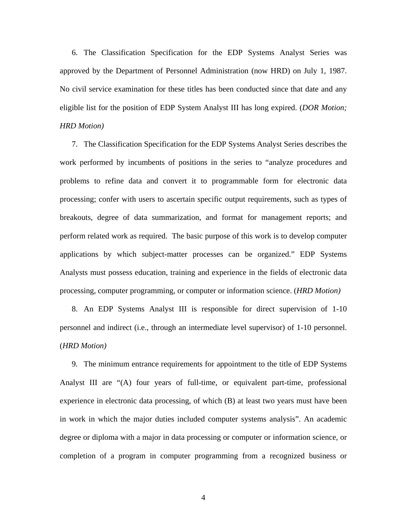6. The Classification Specification for the EDP Systems Analyst Series was approved by the Department of Personnel Administration (now HRD) on July 1, 1987. No civil service examination for these titles has been conducted since that date and any eligible list for the position of EDP System Analyst III has long expired. (*DOR Motion; HRD Motion)*

7. The Classification Specification for the EDP Systems Analyst Series describes the work performed by incumbents of positions in the series to "analyze procedures and problems to refine data and convert it to programmable form for electronic data processing; confer with users to ascertain specific output requirements, such as types of breakouts, degree of data summarization, and format for management reports; and perform related work as required. The basic purpose of this work is to develop computer applications by which subject-matter processes can be organized." EDP Systems Analysts must possess education, training and experience in the fields of electronic data processing, computer programming, or computer or information science. (*HRD Motion)*

8. An EDP Systems Analyst III is responsible for direct supervision of 1-10 personnel and indirect (i.e., through an intermediate level supervisor) of 1-10 personnel. (*HRD Motion)*

9. The minimum entrance requirements for appointment to the title of EDP Systems Analyst III are "(A) four years of full-time, or equivalent part-time, professional experience in electronic data processing, of which (B) at least two years must have been in work in which the major duties included computer systems analysis". An academic degree or diploma with a major in data processing or computer or information science, or completion of a program in computer programming from a recognized business or

4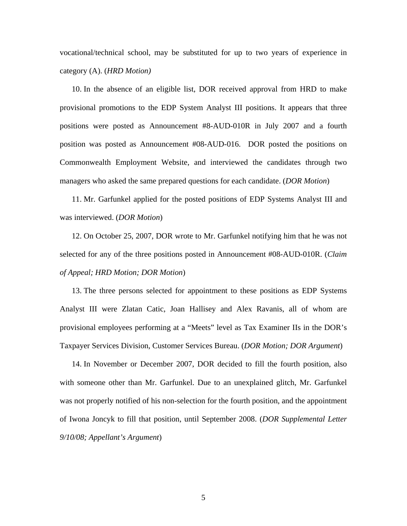vocational/technical school, may be substituted for up to two years of experience in category (A). (*HRD Motion)*

10. In the absence of an eligible list, DOR received approval from HRD to make provisional promotions to the EDP System Analyst III positions. It appears that three positions were posted as Announcement #8-AUD-010R in July 2007 and a fourth position was posted as Announcement #08-AUD-016. DOR posted the positions on Commonwealth Employment Website, and interviewed the candidates through two managers who asked the same prepared questions for each candidate. (*DOR Motion*)

11. Mr. Garfunkel applied for the posted positions of EDP Systems Analyst III and was interviewed. (*DOR Motion*)

12. On October 25, 2007, DOR wrote to Mr. Garfunkel notifying him that he was not selected for any of the three positions posted in Announcement #08-AUD-010R. (*Claim of Appeal; HRD Motion; DOR Motion*)

13. The three persons selected for appointment to these positions as EDP Systems Analyst III were Zlatan Catic, Joan Hallisey and Alex Ravanis, all of whom are provisional employees performing at a "Meets" level as Tax Examiner IIs in the DOR's Taxpayer Services Division, Customer Services Bureau. (*DOR Motion; DOR Argument*)

14. In November or December 2007, DOR decided to fill the fourth position, also with someone other than Mr. Garfunkel. Due to an unexplained glitch, Mr. Garfunkel was not properly notified of his non-selection for the fourth position, and the appointment of Iwona Joncyk to fill that position, until September 2008. (*DOR Supplemental Letter 9/10/08; Appellant's Argument*)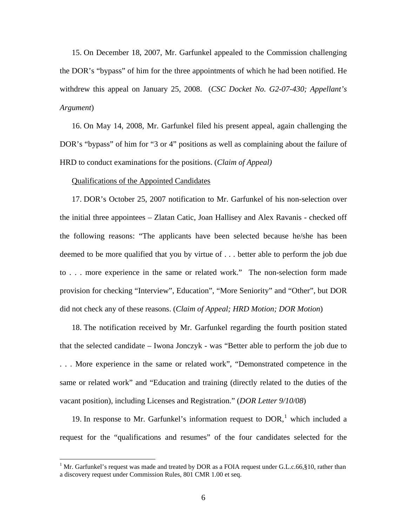15. On December 18, 2007, Mr. Garfunkel appealed to the Commission challenging the DOR's "bypass" of him for the three appointments of which he had been notified. He withdrew this appeal on January 25, 2008. (*CSC Docket No. G2-07-430; Appellant's Argument*)

16. On May 14, 2008, Mr. Garfunkel filed his present appeal, again challenging the DOR's "bypass" of him for "3 or 4" positions as well as complaining about the failure of HRD to conduct examinations for the positions. (*Claim of Appeal)*

#### Qualifications of the Appointed Candidates

1

17. DOR's October 25, 2007 notification to Mr. Garfunkel of his non-selection over the initial three appointees – Zlatan Catic, Joan Hallisey and Alex Ravanis - checked off the following reasons: "The applicants have been selected because he/she has been deemed to be more qualified that you by virtue of . . . better able to perform the job due to . . . more experience in the same or related work." The non-selection form made provision for checking "Interview", Education", "More Seniority" and "Other", but DOR did not check any of these reasons. (*Claim of Appeal; HRD Motion; DOR Motion*)

18. The notification received by Mr. Garfunkel regarding the fourth position stated that the selected candidate – Iwona Jonczyk - was "Better able to perform the job due to . . . More experience in the same or related work", "Demonstrated competence in the same or related work" and "Education and training (directly related to the duties of the vacant position), including Licenses and Registration." (*DOR Letter 9/10/08*)

[1](#page-5-0)9. In response to Mr. Garfunkel's information request to  $DOR<sub>1</sub><sup>1</sup>$  which included a request for the "qualifications and resumes" of the four candidates selected for the

<span id="page-5-0"></span><sup>&</sup>lt;sup>1</sup> Mr. Garfunkel's request was made and treated by DOR as a FOIA request under G.L.c.66, §10, rather than a discovery request under Commission Rules, 801 CMR 1.00 et seq.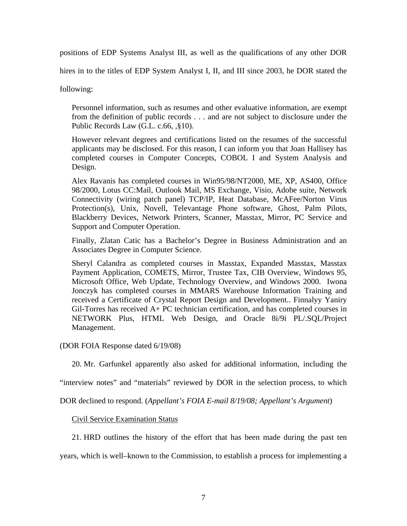positions of EDP Systems Analyst III, as well as the qualifications of any other DOR

hires in to the titles of EDP System Analyst I, II, and III since 2003, he DOR stated the

following:

Personnel information, such as resumes and other evaluative information, are exempt from the definition of public records . . . and are not subject to disclosure under the Public Records Law (G.L. c.66, ,§10).

However relevant degrees and certifications listed on the resumes of the successful applicants may be disclosed. For this reason, I can inform you that Joan Hallisey has completed courses in Computer Concepts, COBOL I and System Analysis and Design.

Alex Ravanis has completed courses in Win95/98/NT2000, ME, XP, AS400, Office 98/2000, Lotus CC:Mail, Outlook Mail, MS Exchange, Visio, Adobe suite, Network Connectivity (wiring patch panel) TCP/IP, Heat Database, McAFee/Norton Virus Protection(s), Unix, Novell, Televantage Phone software, Ghost, Palm Pilots, Blackberry Devices, Network Printers, Scanner, Masstax, Mirror, PC Service and Support and Computer Operation.

Finally, Zlatan Catic has a Bachelor's Degree in Business Administration and an Associates Degree in Computer Science.

Sheryl Calandra as completed courses in Masstax, Expanded Masstax, Masstax Payment Application, COMETS, Mirror, Trustee Tax, CIB Overview, Windows 95, Microsoft Office, Web Update, Technology Overview, and Windows 2000. Iwona Jonczyk has completed courses in MMARS Warehouse Information Training and received a Certificate of Crystal Report Design and Development.. Finnalyy Yaniry Gil-Torres has received A+ PC technician certification, and has completed courses in NETWORK Plus, HTML Web Design, and Oracle 8i/9i PL/.SQL/Project Management.

(DOR FOIA Response dated 6/19/08)

20. Mr. Garfunkel apparently also asked for additional information, including the

"interview notes" and "materials" reviewed by DOR in the selection process, to which

DOR declined to respond. (*Appellant's FOIA E-mail 8/19/08; Appellant's Argument*)

Civil Service Examination Status

21. HRD outlines the history of the effort that has been made during the past ten

years, which is well–known to the Commission, to establish a process for implementing a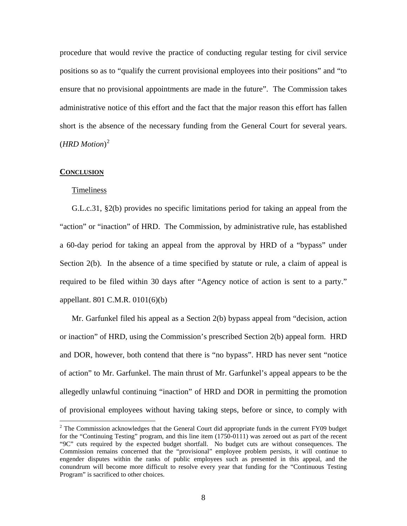procedure that would revive the practice of conducting regular testing for civil service positions so as to "qualify the current provisional employees into their positions" and "to ensure that no provisional appointments are made in the future". The Commission takes administrative notice of this effort and the fact that the major reason this effort has fallen short is the absence of the necessary funding from the General Court for several years. (*HRD Motion*) 2

#### **CONCLUSION**

 $\overline{a}$ 

#### Timeliness

G.L.c.31, §2(b) provides no specific limitations period for taking an appeal from the "action" or "inaction" of HRD. The Commission, by administrative rule, has established a 60-day period for taking an appeal from the approval by HRD of a "bypass" under Section 2(b). In the absence of a time specified by statute or rule, a claim of appeal is required to be filed within 30 days after "Agency notice of action is sent to a party." appellant. 801 C.M.R. 0101(6)(b)

Mr. Garfunkel filed his appeal as a Section 2(b) bypass appeal from "decision, action or inaction" of HRD, using the Commission's prescribed Section 2(b) appeal form. HRD and DOR, however, both contend that there is "no bypass". HRD has never sent "notice of action" to Mr. Garfunkel. The main thrust of Mr. Garfunkel's appeal appears to be the allegedly unlawful continuing "inaction" of HRD and DOR in permitting the promotion of provisional employees without having taking steps, before or since, to comply with

 $2$  The Commission acknowledges that the General Court did appropriate funds in the current FY09 budget for the "Continuing Testing" program, and this line item (1750-0111) was zeroed out as part of the recent "9C" cuts required by the expected budget shortfall. No budget cuts are without consequences. The Commission remains concerned that the "provisional" employee problem persists, it will continue to engender disputes within the ranks of public employees such as presented in this appeal, and the conundrum will become more difficult to resolve every year that funding for the "Continuous Testing Program" is sacrificed to other choices.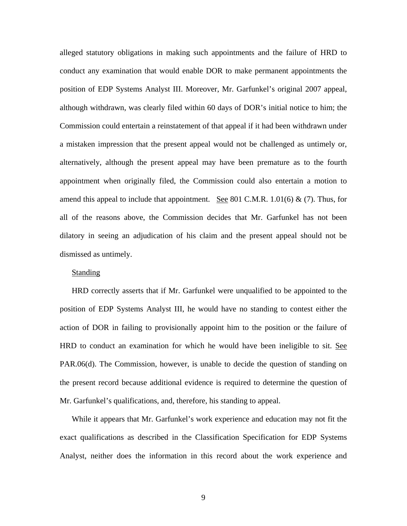alleged statutory obligations in making such appointments and the failure of HRD to conduct any examination that would enable DOR to make permanent appointments the position of EDP Systems Analyst III. Moreover, Mr. Garfunkel's original 2007 appeal, although withdrawn, was clearly filed within 60 days of DOR's initial notice to him; the Commission could entertain a reinstatement of that appeal if it had been withdrawn under a mistaken impression that the present appeal would not be challenged as untimely or, alternatively, although the present appeal may have been premature as to the fourth appointment when originally filed, the Commission could also entertain a motion to amend this appeal to include that appointment. See 801 C.M.R.  $1.01(6)$  & (7). Thus, for all of the reasons above, the Commission decides that Mr. Garfunkel has not been dilatory in seeing an adjudication of his claim and the present appeal should not be dismissed as untimely.

# Standing

HRD correctly asserts that if Mr. Garfunkel were unqualified to be appointed to the position of EDP Systems Analyst III, he would have no standing to contest either the action of DOR in failing to provisionally appoint him to the position or the failure of HRD to conduct an examination for which he would have been ineligible to sit. See PAR.06(d). The Commission, however, is unable to decide the question of standing on the present record because additional evidence is required to determine the question of Mr. Garfunkel's qualifications, and, therefore, his standing to appeal.

While it appears that Mr. Garfunkel's work experience and education may not fit the exact qualifications as described in the Classification Specification for EDP Systems Analyst, neither does the information in this record about the work experience and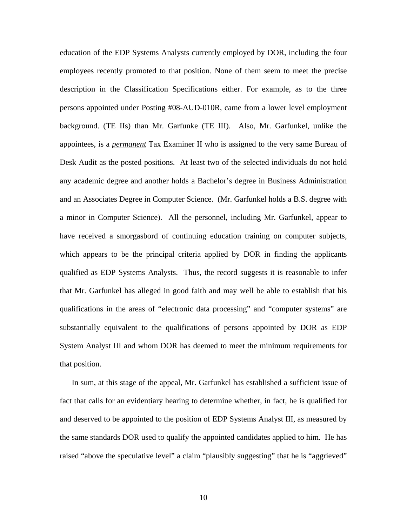education of the EDP Systems Analysts currently employed by DOR, including the four employees recently promoted to that position. None of them seem to meet the precise description in the Classification Specifications either. For example, as to the three persons appointed under Posting #08-AUD-010R, came from a lower level employment background. (TE IIs) than Mr. Garfunke (TE III). Also, Mr. Garfunkel, unlike the appointees, is a *permanent* Tax Examiner II who is assigned to the very same Bureau of Desk Audit as the posted positions. At least two of the selected individuals do not hold any academic degree and another holds a Bachelor's degree in Business Administration and an Associates Degree in Computer Science. (Mr. Garfunkel holds a B.S. degree with a minor in Computer Science). All the personnel, including Mr. Garfunkel, appear to have received a smorgasbord of continuing education training on computer subjects, which appears to be the principal criteria applied by DOR in finding the applicants qualified as EDP Systems Analysts. Thus, the record suggests it is reasonable to infer that Mr. Garfunkel has alleged in good faith and may well be able to establish that his qualifications in the areas of "electronic data processing" and "computer systems" are substantially equivalent to the qualifications of persons appointed by DOR as EDP System Analyst III and whom DOR has deemed to meet the minimum requirements for that position.

In sum, at this stage of the appeal, Mr. Garfunkel has established a sufficient issue of fact that calls for an evidentiary hearing to determine whether, in fact, he is qualified for and deserved to be appointed to the position of EDP Systems Analyst III, as measured by the same standards DOR used to qualify the appointed candidates applied to him. He has raised "above the speculative level" a claim "plausibly suggesting" that he is "aggrieved"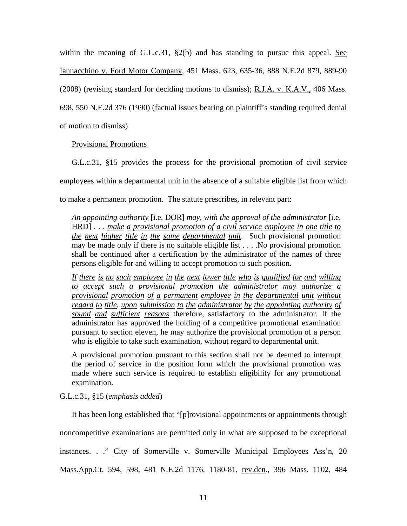within the meaning of G.L.c.31,  $\S2(b)$  and has standing to pursue this appeal. See Iannacchino v. Ford Motor Company, 451 Mass. 623, 635-36, 888 N.E.2d 879, 889-90 (2008) (revising standard for deciding motions to dismiss); R.J.A. v. K.A.V., 406 Mass. 698, 550 N.E.2d 376 (1990) (factual issues bearing on plaintiff's standing required denial of motion to dismiss)

Provisional Promotions

G.L.c.31, §15 provides the process for the provisional promotion of civil service employees within a departmental unit in the absence of a suitable eligible list from which to make a permanent promotion. The statute prescribes, in relevant part:

*An appointing authority* [i.e. DOR] *<u>may, with the approval of the administrator</u> [i.e.] An appointing authority* [i.e. DON] *may, with the approval of the auministrator* [i.e.]<br>HRD] . . . <u>make a provisional promotion of a civil service employee in one title to</u><br>the next higher title in the same departmental *the next higher title in the same departmental unit*. Such provisional promotion may be made only if there is no suitable eligible list . . . .No provisional promotion shall be continued after a certification by the administrator of the names of three persons eligible for and willing to accept promotion to such position.

If there is no such employee in the next lower title who is qualified for and willing *to accept such a provisional promotion the administrator may authorize a provisional promotion of a permanent employee in the departmental unit without regard to title, upon submission to the administrator by the appointing authority of*<br>regard to title, upon submission to the administrator by the appointing authority of *sound and sufficient reasons* therefore, satisfactory to the administrator. If the administrator has approved the holding of a competitive promotional examination pursuant to section eleven, he may authorize the provisional promotion of a person who is eligible to take such examination, without regard to departmental unit.

A provisional promotion pursuant to this section shall not be deemed to interrupt the period of service in the position form which the provisional promotion was made where such service is required to establish eligibility for any promotional examination.

G.L.c.31, §15 (*emphasis added*)

It has been long established that "[p]rovisional appointments or appointments through noncompetitive examinations are permitted only in what are supposed to be exceptional instances. . ." City of Somerville v. Somerville Municipal Employees Ass'n, 20 Mass.App.Ct. 594, 598, 481 N.E.2d 1176, 1180-81, rev.den., 396 Mass. 1102, 484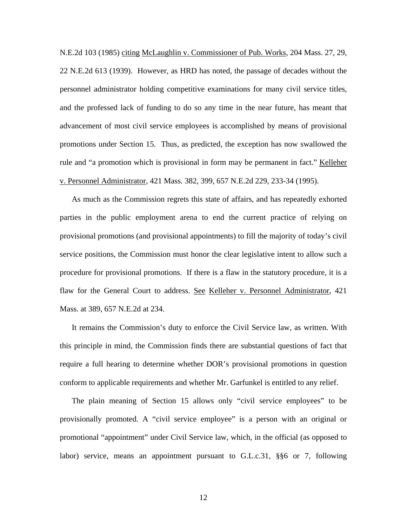N.E.2d 103 (1985) citing McLaughlin v. Commissioner of Pub. Works, 204 Mass. 27, 29, 22 N.E.2d 613 (1939). However, as HRD has noted, the passage of decades without the personnel administrator holding competitive examinations for many civil service titles, and the professed lack of funding to do so any time in the near future, has meant that advancement of most civil service employees is accomplished by means of provisional promotions under Section 15. Thus, as predicted, the exception has now swallowed the rule and "a promotion which is provisional in form may be permanent in fact." Kelleher v. Personnel Administrator, 421 Mass. 382, 399, 657 N.E.2d 229, 233-34 (1995).

As much as the Commission regrets this state of affairs, and has repeatedly exhorted parties in the public employment arena to end the current practice of relying on provisional promotions (and provisional appointments) to fill the majority of today's civil service positions, the Commission must honor the clear legislative intent to allow such a procedure for provisional promotions. If there is a flaw in the statutory procedure, it is a flaw for the General Court to address. See Kelleher v. Personnel Administrator, 421 Mass. at 389, 657 N.E.2d at 234.

It remains the Commission's duty to enforce the Civil Service law, as written. With this principle in mind, the Commission finds there are substantial questions of fact that require a full hearing to determine whether DOR's provisional promotions in question conform to applicable requirements and whether Mr. Garfunkel is entitled to any relief.

The plain meaning of Section 15 allows only "civil service employees" to be provisionally promoted. A "civil service employee" is a person with an original or promotional "appointment" under Civil Service law, which, in the official (as opposed to labor) service, means an appointment pursuant to G.L.c.31, §§6 or 7, following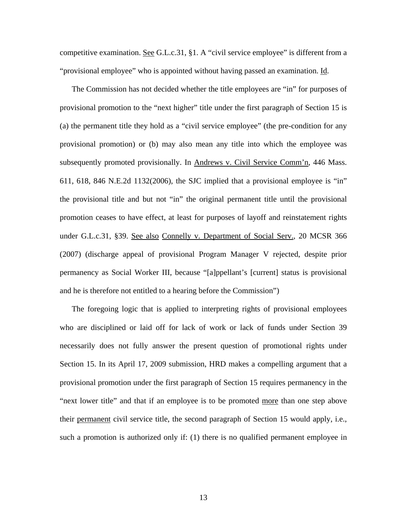competitive examination. See G.L.c.31, §1. A "civil service employee" is different from a "provisional employee" who is appointed without having passed an examination. Id.

The Commission has not decided whether the title employees are "in" for purposes of provisional promotion to the "next higher" title under the first paragraph of Section 15 is (a) the permanent title they hold as a "civil service employee" (the pre-condition for any provisional promotion) or (b) may also mean any title into which the employee was subsequently promoted provisionally. In Andrews v. Civil Service Comm'n, 446 Mass. 611, 618, 846 N.E.2d 1132(2006), the SJC implied that a provisional employee is "in" the provisional title and but not "in" the original permanent title until the provisional promotion ceases to have effect, at least for purposes of layoff and reinstatement rights under G.L.c.31, §39. See also Connelly v. Department of Social Serv., 20 MCSR 366 (2007) (discharge appeal of provisional Program Manager V rejected, despite prior permanency as Social Worker III, because "[a]ppellant's [current] status is provisional and he is therefore not entitled to a hearing before the Commission")

The foregoing logic that is applied to interpreting rights of provisional employees who are disciplined or laid off for lack of work or lack of funds under Section 39 necessarily does not fully answer the present question of promotional rights under Section 15. In its April 17, 2009 submission, HRD makes a compelling argument that a provisional promotion under the first paragraph of Section 15 requires permanency in the "next lower title" and that if an employee is to be promoted more than one step above their permanent civil service title, the second paragraph of Section 15 would apply, i.e., such a promotion is authorized only if: (1) there is no qualified permanent employee in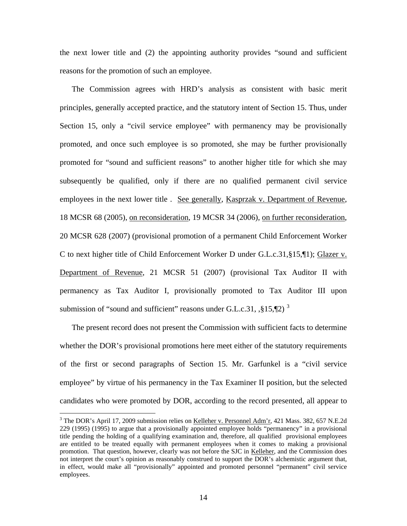the next lower title and (2) the appointing authority provides "sound and sufficient reasons for the promotion of such an employee.

The Commission agrees with HRD's analysis as consistent with basic merit principles, generally accepted practice, and the statutory intent of Section 15. Thus, under Section 15, only a "civil service employee" with permanency may be provisionally promoted, and once such employee is so promoted, she may be further provisionally promoted for "sound and sufficient reasons" to another higher title for which she may subsequently be qualified, only if there are no qualified permanent civil service employees in the next lower title . See generally, Kasprzak v. Department of Revenue, 18 MCSR 68 (2005), on reconsideration, 19 MCSR 34 (2006), on further reconsideration, 20 MCSR 628 (2007) (provisional promotion of a permanent Child Enforcement Worker C to next higher title of Child Enforcement Worker D under G.L.c.31,§15,¶1); Glazer v. Department of Revenue, 21 MCSR 51 (2007) (provisional Tax Auditor II with permanency as Tax Auditor I, provisionally promoted to Tax Auditor III upon submission of "sound and sufficient" reasons under G.L.c.[3](#page-13-0)1,  $\frac{1}{2}$  5.

The present record does not present the Commission with sufficient facts to determine whether the DOR's provisional promotions here meet either of the statutory requirements of the first or second paragraphs of Section 15. Mr. Garfunkel is a "civil service employee" by virtue of his permanency in the Tax Examiner II position, but the selected candidates who were promoted by DOR, according to the record presented, all appear to

 $\overline{a}$ 

<span id="page-13-0"></span><sup>&</sup>lt;sup>3</sup> The DOR's April 17, 2009 submission relies on Kelleher v. Personnel Adm'r, 421 Mass. 382, 657 N.E.2d 229 (1995) (1995) to argue that a provisionally appointed employee holds "permanency" in a provisional title pending the holding of a qualifying examination and, therefore, all qualified provisional employees are entitled to be treated equally with permanent employees when it comes to making a provisional promotion. That question, however, clearly was not before the SJC in Kelleher, and the Commission does not interpret the court's opinion as reasonably construed to support the DOR's alchemistic argument that, in effect, would make all "provisionally" appointed and promoted personnel "permanent" civil service employees.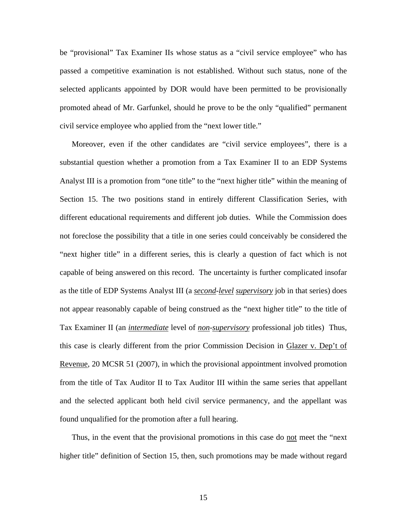be "provisional" Tax Examiner IIs whose status as a "civil service employee" who has passed a competitive examination is not established. Without such status, none of the selected applicants appointed by DOR would have been permitted to be provisionally promoted ahead of Mr. Garfunkel, should he prove to be the only "qualified" permanent civil service employee who applied from the "next lower title."

Moreover, even if the other candidates are "civil service employees", there is a substantial question whether a promotion from a Tax Examiner II to an EDP Systems Analyst III is a promotion from "one title" to the "next higher title" within the meaning of Section 15. The two positions stand in entirely different Classification Series, with different educational requirements and different job duties. While the Commission does not foreclose the possibility that a title in one series could conceivably be considered the "next higher title" in a different series, this is clearly a question of fact which is not capable of being answered on this record. The uncertainty is further complicated insofar as the title of EDP Systems Analyst III (a *second-level supervisory* job in that series) does not appear reasonably capable of being construed as the "next higher title" to the title of Tax Examiner II (an *intermediate* level of *non*-*supervisory* professional job titles) Thus, this case is clearly different from the prior Commission Decision in Glazer v. Dep't of Revenue, 20 MCSR 51 (2007), in which the provisional appointment involved promotion from the title of Tax Auditor II to Tax Auditor III within the same series that appellant and the selected applicant both held civil service permanency, and the appellant was found unqualified for the promotion after a full hearing.

Thus, in the event that the provisional promotions in this case do not meet the "next higher title" definition of Section 15, then, such promotions may be made without regard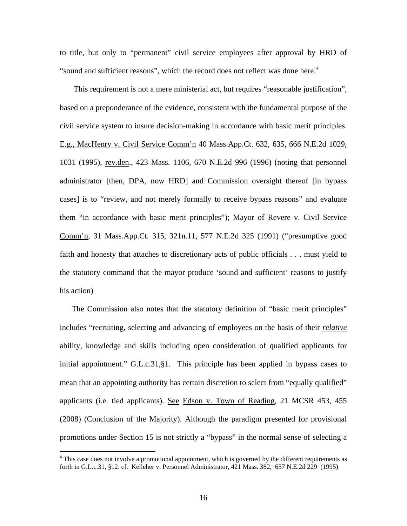to title, but only to "permanent" civil service employees after approval by HRD of "sound and sufficient reasons", which the record does not reflect was done here.<sup>[4](#page-15-0)</sup>

 This requirement is not a mere ministerial act, but requires "reasonable justification", based on a preponderance of the evidence, consistent with the fundamental purpose of the civil service system to insure decision-making in accordance with basic merit principles. E.g., MacHenry v. Civil Service Comm'n 40 Mass.App.Ct. 632, 635, 666 N.E.2d 1029, 1031 (1995), rev.den., 423 Mass. 1106, 670 N.E.2d 996 (1996) (noting that personnel administrator [then, DPA, now HRD] and Commission oversight thereof [in bypass cases] is to "review, and not merely formally to receive bypass reasons" and evaluate them "in accordance with basic merit principles"); Mayor of Revere v. Civil Service Comm'n, 31 Mass.App.Ct. 315, 321n.11, 577 N.E.2d 325 (1991) ("presumptive good faith and honesty that attaches to discretionary acts of public officials . . . must yield to the statutory command that the mayor produce 'sound and sufficient' reasons to justify his action)

The Commission also notes that the statutory definition of "basic merit principles" includes "recruiting, selecting and advancing of employees on the basis of their *relative* ability, knowledge and skills including open consideration of qualified applicants for initial appointment." G.L.c.31,§1. This principle has been applied in bypass cases to mean that an appointing authority has certain discretion to select from "equally qualified" applicants (i.e. tied applicants). See Edson v. Town of Reading, 21 MCSR 453, 455 (2008) (Conclusion of the Majority). Although the paradigm presented for provisional promotions under Section 15 is not strictly a "bypass" in the normal sense of selecting a

 $\overline{a}$ 

<span id="page-15-0"></span><sup>&</sup>lt;sup>4</sup> This case does not involve a promotional appointment, which is governed by the different requirements as forth in G.L.c.31, §12. cf. Kelleher v. Personnel Administrator, 421 Mass. 382, 657 N.E.2d 229 (1995)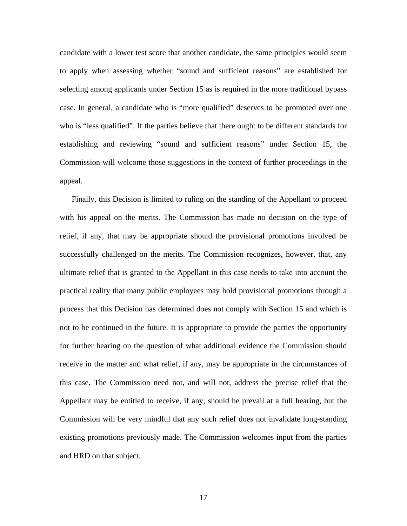candidate with a lower test score that another candidate, the same principles would seem to apply when assessing whether "sound and sufficient reasons" are established for selecting among applicants under Section 15 as is required in the more traditional bypass case. In general, a candidate who is "more qualified" deserves to be promoted over one who is "less qualified". If the parties believe that there ought to be different standards for establishing and reviewing "sound and sufficient reasons" under Section 15, the Commission will welcome those suggestions in the context of further proceedings in the appeal.

Finally, this Decision is limited to ruling on the standing of the Appellant to proceed with his appeal on the merits. The Commission has made no decision on the type of relief, if any, that may be appropriate should the provisional promotions involved be successfully challenged on the merits. The Commission recognizes, however, that, any ultimate relief that is granted to the Appellant in this case needs to take into account the practical reality that many public employees may hold provisional promotions through a process that this Decision has determined does not comply with Section 15 and which is not to be continued in the future. It is appropriate to provide the parties the opportunity for further hearing on the question of what additional evidence the Commission should receive in the matter and what relief, if any, may be appropriate in the circumstances of this case. The Commission need not, and will not, address the precise relief that the Appellant may be entitled to receive, if any, should he prevail at a full hearing, but the Commission will be very mindful that any such relief does not invalidate long-standing existing promotions previously made. The Commission welcomes input from the parties and HRD on that subject.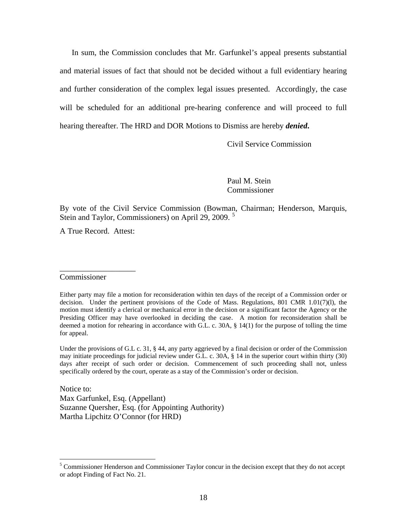In sum, the Commission concludes that Mr. Garfunkel's appeal presents substantial and material issues of fact that should not be decided without a full evidentiary hearing and further consideration of the complex legal issues presented. Accordingly, the case will be scheduled for an additional pre-hearing conference and will proceed to full hearing thereafter. The HRD and DOR Motions to Dismiss are hereby *denied***.**

Civil Service Commission

Paul M. Stein Commissioner

By vote of the Civil Service Commission (Bowman, Chairman; Henderson, Marquis, Stein and Taylor, Commissioners) on April 29, 2009.  $5$ 

A True Record. Attest:

\_\_\_\_\_\_\_\_\_\_\_\_\_\_\_\_\_\_\_

### Commissioner

Under the provisions of G.L c. 31, § 44, any party aggrieved by a final decision or order of the Commission may initiate proceedings for judicial review under G.L. c. 30A, § 14 in the superior court within thirty (30) days after receipt of such order or decision. Commencement of such proceeding shall not, unless specifically ordered by the court, operate as a stay of the Commission's order or decision.

Notice to: Max Garfunkel, Esq. (Appellant) Suzanne Quersher, Esq. (for Appointing Authority) Martha Lipchitz O'Connor (for HRD)

Either party may file a motion for reconsideration within ten days of the receipt of a Commission order or decision. Under the pertinent provisions of the Code of Mass. Regulations, 801 CMR 1.01(7)(l), the motion must identify a clerical or mechanical error in the decision or a significant factor the Agency or the Presiding Officer may have overlooked in deciding the case. A motion for reconsideration shall be deemed a motion for rehearing in accordance with G.L. c. 30A, § 14(1) for the purpose of tolling the time for appeal.

<span id="page-17-0"></span> 5 Commissioner Henderson and Commissioner Taylor concur in the decision except that they do not accept or adopt Finding of Fact No. 21.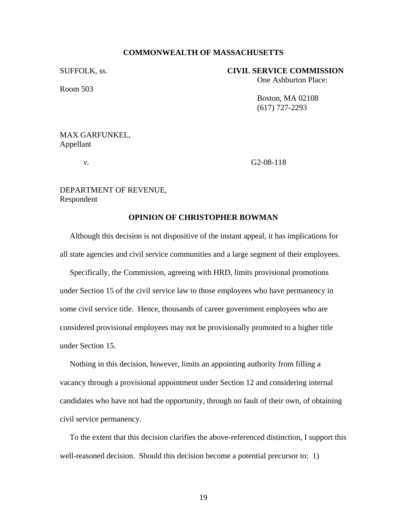### **COMMONWEALTH OF MASSACHUSETTS**

Room 503

# SUFFOLK, ss. **CIVIL SERVICE COMMISSION**  One Ashburton Place:

 Boston, MA 02108 (617) 727-2293

# MAX GARFUNKEL, Appellant

*v.* G2-08-118

# DEPARTMENT OF REVENUE, Respondent

### **OPINION OF CHRISTOPHER BOWMAN**

Although this decision is not dispositive of the instant appeal, it has implications for all state agencies and civil service communities and a large segment of their employees.

 Specifically, the Commission, agreeing with HRD, limits provisional promotions under Section 15 of the civil service law to those employees who have permanency in some civil service title. Hence, thousands of career government employees who are considered provisional employees may not be provisionally promoted to a higher title under Section 15.

 Nothing in this decision, however, limits an appointing authority from filling a vacancy through a provisional appointment under Section 12 and considering internal candidates who have not had the opportunity, through no fault of their own, of obtaining civil service permanency.

 To the extent that this decision clarifies the above-referenced distinction, I support this well-reasoned decision. Should this decision become a potential precursor to: 1)

19